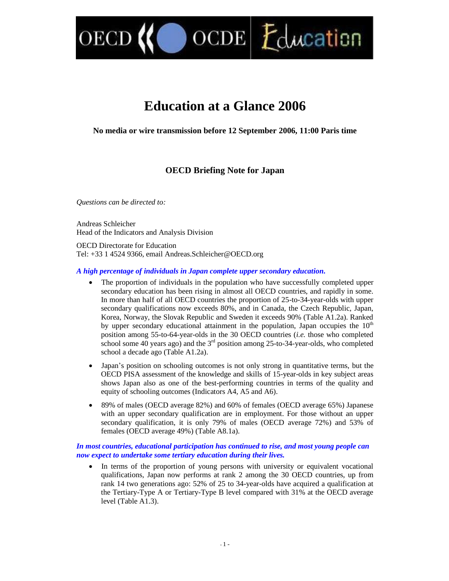OCDE *L*ducation

# **Education at a Glance 2006**

**No media or wire transmission before 12 September 2006, 11:00 Paris time**

# **OECD Briefing Note for Japan**

*Questions can be directed to:*

Andreas Schleicher Head of the Indicators and Analysis Division

OECD Directorate for Education Tel: +33 1 4524 9366, email Andreas.Schleicher@OECD.org

# *A high percentage of individuals in Japan complete upper secondary education.*

- The proportion of individuals in the population who have successfully completed upper secondary education has been rising in almost all OECD countries, and rapidly in some. In more than half of all OECD countries the proportion of 25-to-34-year-olds with upper secondary qualifications now exceeds 80%, and in Canada, the Czech Republic, Japan, Korea, Norway, the Slovak Republic and Sweden it exceeds 90% (Table A1.2a). Ranked by upper secondary educational attainment in the population, Japan occupies the  $10<sup>th</sup>$ position among 55-to-64-year-olds in the 30 OECD countries (*i.e.* those who completed school some 40 years ago) and the  $3<sup>rd</sup>$  position among 25-to-34-year-olds, who completed school a decade ago (Table A1.2a).
- Japan's position on schooling outcomes is not only strong in quantitative terms, but the OECD PISA assessment of the knowledge and skills of 15-year-olds in key subject areas shows Japan also as one of the best-performing countries in terms of the quality and equity of schooling outcomes (Indicators A4, A5 and A6).
- 89% of males (OECD average 82%) and 60% of females (OECD average 65%) Japanese with an upper secondary qualification are in employment. For those without an upper secondary qualification, it is only 79% of males (OECD average 72%) and 53% of females (OECD average 49%) (Table A8.1a).

#### *In most countries, educational participation has continued to rise, and most young people can now expect to undertake some tertiary education during their lives.*

 In terms of the proportion of young persons with university or equivalent vocational qualifications, Japan now performs at rank 2 among the 30 OECD countries, up from rank 14 two generations ago: 52% of 25 to 34-year-olds have acquired a qualification at the Tertiary-Type A or Tertiary-Type B level compared with 31% at the OECD average level (Table A1.3).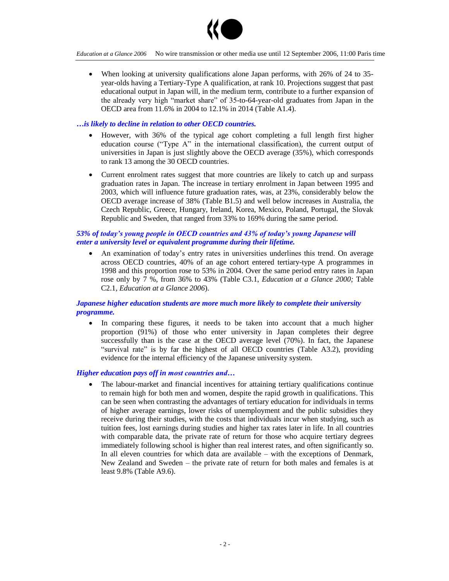

*Education at a Glance 2006* No wire transmission or other media use until 12 September 2006, 11:00 Paris time

 When looking at university qualifications alone Japan performs, with 26% of 24 to 35 year-olds having a Tertiary-Type A qualification, at rank 10. Projections suggest that past educational output in Japan will, in the medium term, contribute to a further expansion of the already very high "market share" of 35-to-64-year-old graduates from Japan in the OECD area from 11.6% in 2004 to 12.1% in 2014 (Table A1.4).

# *…is likely to decline in relation to other OECD countries.*

- However, with 36% of the typical age cohort completing a full length first higher education course ("Type A" in the international classification), the current output of universities in Japan is just slightly above the OECD average (35%), which corresponds to rank 13 among the 30 OECD countries.
- Current enrolment rates suggest that more countries are likely to catch up and surpass graduation rates in Japan. The increase in tertiary enrolment in Japan between 1995 and 2003, which will influence future graduation rates, was, at 23%, considerably below the OECD average increase of 38% (Table B1.5) and well below increases in Australia, the Czech Republic, Greece, Hungary, Ireland, Korea, Mexico, Poland, Portugal, the Slovak Republic and Sweden, that ranged from 33% to 169% during the same period.

# 53% of *today's young people in OECD countries and 43% of today's young Japanese* will *enter a university level or equivalent programme during their lifetime.*

An examination of today's entry rates in universities underlines this trend. On average across OECD countries, 40% of an age cohort entered tertiary-type A programmes in 1998 and this proportion rose to 53% in 2004. Over the same period entry rates in Japan rose only by 7 %, from 36% to 43% (Table C3.1, *Education at a Glance 2000;* Table C2.1, *Education at a Glance 2006*).

# *Japanese higher education students are more much more likely to complete their university programme.*

 In comparing these figures, it needs to be taken into account that a much higher proportion (91%) of those who enter university in Japan completes their degree successfully than is the case at the OECD average level (70%). In fact, the Japanese "survival rate" is by far the highest of all OECD countries (Table A3.2), providing evidence for the internal efficiency of the Japanese university system.

#### *Higher education pays off in most countries and...*

• The labour-market and financial incentives for attaining tertiary qualifications continue to remain high for both men and women, despite the rapid growth in qualifications. This can be seen when contrasting the advantages of tertiary education for individuals in terms of higher average earnings, lower risks of unemployment and the public subsidies they receive during their studies, with the costs that individuals incur when studying, such as tuition fees, lost earnings during studies and higher tax rates later in life. In all countries with comparable data, the private rate of return for those who acquire tertiary degrees immediately following school is higher than real interest rates, and often significantly so. In all eleven countries for which data are available  $-$  with the exceptions of Denmark, New Zealand and Sweden  $-$  the private rate of return for both males and females is at least 9.8% (Table A9.6).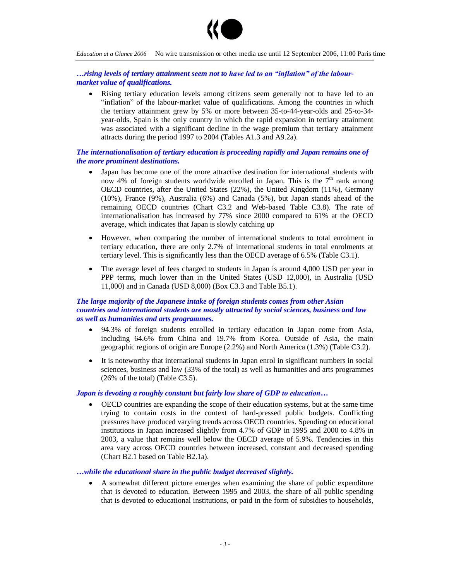

*Education at a Glance 2006* No wire transmission or other media use until 12 September 2006, 11:00 Paris time

*…rising levels of tertiary attainment seem not to haveledtoan"inflation"ofthelabourmarket value of qualifications.*

 Rising tertiary education levels among citizens seem generally not to have led to an "inflation" of the labour-market value of qualifications. Among the countries in which the tertiary attainment grew by 5% or more between 35-to-44-year-olds and 25-to-34 year-olds, Spain is the only country in which the rapid expansion in tertiary attainment was associated with a significant decline in the wage premium that tertiary attainment attracts during the period 1997 to 2004 (Tables A1.3 and A9.2a).

# *The internationalisation of tertiary education is proceeding rapidly and Japan remains one of the more prominent destinations.*

- Japan has become one of the more attractive destination for international students with now 4% of foreign students worldwide enrolled in Japan. This is the  $7<sup>th</sup>$  rank among OECD countries, after the United States (22%), the United Kingdom (11%), Germany (10%), France (9%), Australia (6%) and Canada (5%), but Japan stands ahead of the remaining OECD countries (Chart C3.2 and Web-based Table C3.8). The rate of internationalisation has increased by 77% since 2000 compared to 61% at the OECD average, which indicates that Japan is slowly catching up
- However, when comparing the number of international students to total enrolment in tertiary education, there are only 2.7% of international students in total enrolments at tertiary level. This is significantly less than the OECD average of 6.5% (Table C3.1).
- The average level of fees charged to students in Japan is around 4,000 USD per year in PPP terms, much lower than in the United States (USD 12,000), in Australia (USD 11,000) and in Canada (USD 8,000) (Box C3.3 and Table B5.1).

# *The large majority of the Japanese intake of foreign students comes from other Asian countries and international students are mostly attracted by social sciences, business and law as well as humanities and arts programmes.*

- 94.3% of foreign students enrolled in tertiary education in Japan come from Asia, including 64.6% from China and 19.7% from Korea. Outside of Asia, the main geographic regions of origin are Europe (2.2%) and North America (1.3%) (Table C3.2).
- It is noteworthy that international students in Japan enrol in significant numbers in social sciences, business and law (33% of the total) as well as humanities and arts programmes (26% of the total) (Table C3.5).

# *Japan is devoting a roughly constant but fairly low share of GDP to education...*

 OECD countries are expanding the scope of their education systems, but at the same time trying to contain costs in the context of hard-pressed public budgets. Conflicting pressures have produced varying trends across OECD countries. Spending on educational institutions in Japan increased slightly from 4.7% of GDP in 1995 and 2000 to 4.8% in 2003, a value that remains well below the OECD average of 5.9%. Tendencies in this area vary across OECD countries between increased, constant and decreased spending (Chart B2.1 based on Table B2.1a).

#### *…while the educational share in the public budget decreased slightly.*

 A somewhat different picture emerges when examining the share of public expenditure that is devoted to education. Between 1995 and 2003, the share of all public spending that is devoted to educational institutions, or paid in the form of subsidies to households,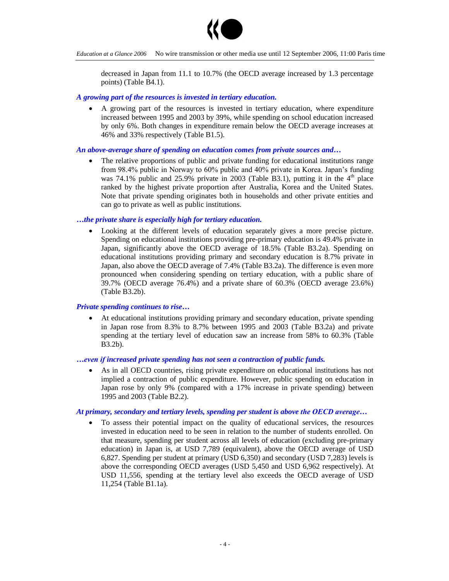

decreased in Japan from 11.1 to 10.7% (the OECD average increased by 1.3 percentage points) (Table B4.1).

#### *A growing part of the resources is invested in tertiary education.*

 A growing part of the resources is invested in tertiary education, where expenditure increased between 1995 and 2003 by 39%, while spending on school education increased by only 6%. Both changes in expenditure remain below the OECD average increases at 46% and 33% respectively (Table B1.5).

#### *An above-average share of spending on education comes from private sources and…*

 The relative proportions of public and private funding for educational institutions range from 98.4% public in Norway to 60% public and 40% private in Korea. Japan's funding was 74.1% public and 25.9% private in 2003 (Table B3.1), putting it in the  $4<sup>th</sup>$  place ranked by the highest private proportion after Australia, Korea and the United States. Note that private spending originates both in households and other private entities and can go to private as well as public institutions.

#### *…the private share is especially high for tertiary education.*

 Looking at the different levels of education separately gives a more precise picture. Spending on educational institutions providing pre-primary education is 49.4% private in Japan, significantly above the OECD average of 18.5% (Table B3.2a). Spending on educational institutions providing primary and secondary education is 8.7% private in Japan, also above the OECD average of 7.4% (Table B3.2a). The difference is even more pronounced when considering spending on tertiary education, with a public share of 39.7% (OECD average 76.4%) and a private share of 60.3% (OECD average 23.6%) (Table B3.2b).

#### *Private spending continues to rise…*

 At educational institutions providing primary and secondary education, private spending in Japan rose from 8.3% to 8.7% between 1995 and 2003 (Table B3.2a) and private spending at the tertiary level of education saw an increase from 58% to 60.3% (Table B3.2b).

#### *…evenifincreased private spending has not seen a contraction of public funds.*

 As in all OECD countries, rising private expenditure on educational institutions has not implied a contraction of public expenditure. However, public spending on education in Japan rose by only 9% (compared with a 17% increase in private spending) between 1995 and 2003 (Table B2.2).

#### *At primary, secondary and tertiary levels, spending per student is above theOECDaverage…*

 To assess their potential impact on the quality of educational services, the resources invested in education need to be seen in relation to the number of students enrolled. On that measure, spending per student across all levels of education (excluding pre-primary education) in Japan is, at USD 7,789 (equivalent), above the OECD average of USD 6,827. Spending per student at primary (USD 6,350) and secondary (USD 7,283) levels is above the corresponding OECD averages (USD 5,450 and USD 6,962 respectively). At USD 11,556, spending at the tertiary level also exceeds the OECD average of USD 11,254 (Table B1.1a).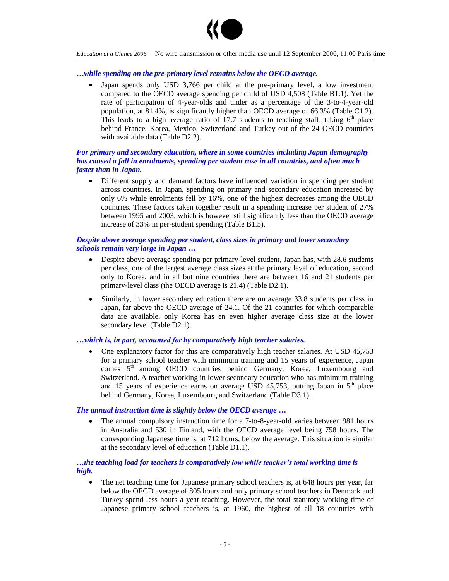

*Education at a Glance 2006* No wire transmission or other media use until 12 September 2006, 11:00 Paris time

#### *…while spending on the pre-primary level remains below the OECD average.*

 Japan spends only USD 3,766 per child at the pre-primary level, a low investment compared to the OECD average spending per child of USD 4,508 (Table B1.1). Yet the rate of participation of 4-year-olds and under as a percentage of the 3-to-4-year-old population, at 81.4%, is significantly higher than OECD average of 66.3% (Table C1.2). This leads to a high average ratio of 17.7 students to teaching staff, taking  $6<sup>th</sup>$  place behind France, Korea, Mexico, Switzerland and Turkey out of the 24 OECD countries with available data (Table D2.2).

# *For primary and secondary education, where in some countries including Japan demography has caused a fall in enrolments, spending per student rose in all countries, and often much faster than in Japan.*

 Different supply and demand factors have influenced variation in spending per student across countries. In Japan, spending on primary and secondary education increased by only 6% while enrolments fell by 16%, one of the highest decreases among the OECD countries. These factors taken together result in a spending increase per student of 27% between 1995 and 2003, which is however still significantly less than the OECD average increase of 33% in per-student spending (Table B1.5).

# *Despite above average spending per student, class sizes in primary and lower secondary schools remain very large in Japan …*

- Despite above average spending per primary-level student, Japan has, with 28.6 students per class, one of the largest average class sizes at the primary level of education, second only to Korea, and in all but nine countries there are between 16 and 21 students per primary-level class (the OECD average is 21.4) (Table D2.1).
- Similarly, in lower secondary education there are on average 33.8 students per class in Japan, far above the OECD average of 24.1. Of the 21 countries for which comparable data are available, only Korea has en even higher average class size at the lower secondary level (Table D2.1).

#### *…whichis,inpart,accountedforby comparatively high teacher salaries.*

 One explanatory factor for this are comparatively high teacher salaries. At USD 45,753 for a primary school teacher with minimum training and 15 years of experience, Japan comes 5<sup>th</sup> among OECD countries behind Germany, Korea, Luxembourg and Switzerland. A teacher working in lower secondary education who has minimum training and 15 years of experience earns on average USD 45,753, putting Japan in  $5<sup>th</sup>$  place behind Germany, Korea, Luxembourg and Switzerland (Table D3.1).

#### *The annual instruction time is slightly below the OECD average …*

 The annual compulsory instruction time for a 7-to-8-year-old varies between 981 hours in Australia and 530 in Finland, with the OECD average level being 758 hours. The corresponding Japanese time is, at 712 hours, below the average. This situation is similar at the secondary level of education (Table D1.1).

# *…the teaching load for teachers is comparatively lowwhileteacher'stotalworking time is high.*

• The net teaching time for Japanese primary school teachers is, at 648 hours per year, far below the OECD average of 805 hours and only primary school teachers in Denmark and Turkey spend less hours a year teaching. However, the total statutory working time of Japanese primary school teachers is, at 1960, the highest of all 18 countries with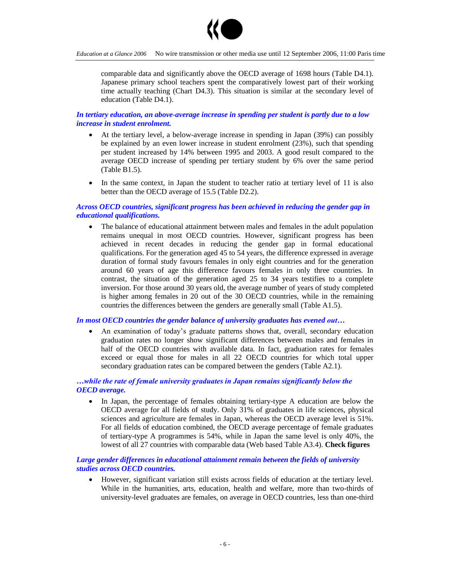

comparable data and significantly above the OECD average of 1698 hours (Table D4.1). Japanese primary school teachers spent the comparatively lowest part of their working time actually teaching (Chart D4.3). This situation is similar at the secondary level of education (Table D4.1).

*In tertiary education, an above-average increase in spending per student is partly due to a low increase in student enrolment.*

- At the tertiary level, a below-average increase in spending in Japan (39%) can possibly be explained by an even lower increase in student enrolment (23%), such that spending per student increased by 14% between 1995 and 2003. A good result compared to the average OECD increase of spending per tertiary student by 6% over the same period (Table B1.5).
- In the same context, in Japan the student to teacher ratio at tertiary level of 11 is also better than the OECD average of 15.5 (Table D2.2).

## *Across OECD countries, significant progress has been achieved in reducing the gender gap in educational qualifications.*

 The balance of educational attainment between males and females in the adult population remains unequal in most OECD countries. However, significant progress has been achieved in recent decades in reducing the gender gap in formal educational qualifications. For the generation aged 45 to 54 years, the difference expressed in average duration of formal study favours females in only eight countries and for the generation around 60 years of age this difference favours females in only three countries. In contrast, the situation of the generation aged 25 to 34 years testifies to a complete inversion. For those around 30 years old, the average number of years of study completed is higher among females in 20 out of the 30 OECD countries, while in the remaining countries the differences between the genders are generally small (Table A1.5).

# *In most OECD countries the gender balance of university graduates has evened out…*

An examination of today's graduate patterns shows that, overall, secondary education graduation rates no longer show significant differences between males and females in half of the OECD countries with available data. In fact, graduation rates for females exceed or equal those for males in all 22 OECD countries for which total upper secondary graduation rates can be compared between the genders (Table A2.1).

**…while the rate of female university graduates in Japan remains significantly below the** *OECD average.*

 In Japan, the percentage of females obtaining tertiary-type A education are below the OECD average for all fields of study. Only 31% of graduates in life sciences, physical sciences and agriculture are females in Japan, whereas the OECD average level is 51%. For all fields of education combined, the OECD average percentage of female graduates of tertiary-type A programmes is 54%, while in Japan the same level is only 40%, the lowest of all 27 countries with comparable data (Web based Table A3.4). **Check figures**

*Large gender differences in educational attainment remain between the fields of university studies across OECD countries.*

 However, significant variation still exists across fields of education at the tertiary level. While in the humanities, arts, education, health and welfare, more than two-thirds of university-level graduates are females, on average in OECD countries, less than one-third